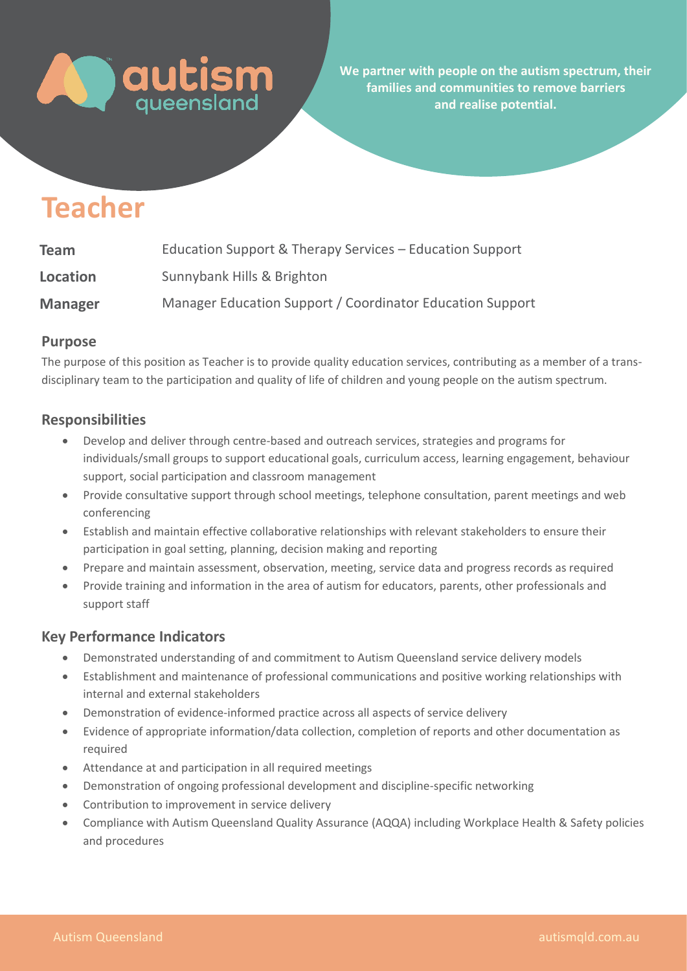

**We partner with people on the autism spectrum, their families and communities to remove barriers and realise potential.** 

# **Teacher**

| <b>Team</b>     | Education Support & Therapy Services – Education Support  |
|-----------------|-----------------------------------------------------------|
| <b>Location</b> | Sunnybank Hills & Brighton                                |
| <b>Manager</b>  | Manager Education Support / Coordinator Education Support |

# **Purpose**

The purpose of this position as Teacher is to provide quality education services, contributing as a member of a transdisciplinary team to the participation and quality of life of children and young people on the autism spectrum.

# **Responsibilities**

- Develop and deliver through centre-based and outreach services, strategies and programs for individuals/small groups to support educational goals, curriculum access, learning engagement, behaviour support, social participation and classroom management
- Provide consultative support through school meetings, telephone consultation, parent meetings and web conferencing
- Establish and maintain effective collaborative relationships with relevant stakeholders to ensure their participation in goal setting, planning, decision making and reporting
- Prepare and maintain assessment, observation, meeting, service data and progress records as required
- Provide training and information in the area of autism for educators, parents, other professionals and support staff

#### **Key Performance Indicators**

- Demonstrated understanding of and commitment to Autism Queensland service delivery models
- Establishment and maintenance of professional communications and positive working relationships with internal and external stakeholders
- Demonstration of evidence-informed practice across all aspects of service delivery
- Evidence of appropriate information/data collection, completion of reports and other documentation as required
- Attendance at and participation in all required meetings
- Demonstration of ongoing professional development and discipline-specific networking
- Contribution to improvement in service delivery
- Compliance with Autism Queensland Quality Assurance (AQQA) including Workplace Health & Safety policies and procedures